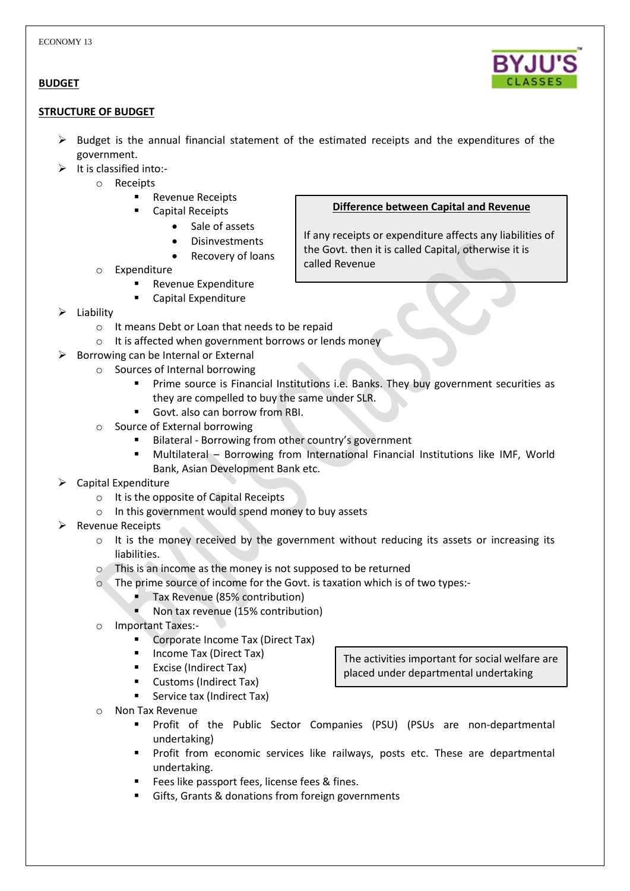# **BUDGET**

### **STRUCTURE OF BUDGET**

- $\triangleright$  Budget is the annual financial statement of the estimated receipts and the expenditures of the government.
- $\triangleright$  It is classified into:
	- o Receipts
		- **Revenue Receipts** 
			- Capital Receipts
				- Sale of assets
				- **Disinvestments**
				- Recovery of loans
	- o Expenditure
		- Revenue Expenditure
		- Capital Expenditure
- Liability
	- o It means Debt or Loan that needs to be repaid
	- o It is affected when government borrows or lends money
- $\triangleright$  Borrowing can be Internal or External
	- o Sources of Internal borrowing
		- **Prime source is Financial Institutions i.e. Banks. They buy government securities as** they are compelled to buy the same under SLR.
		- Govt. also can borrow from RBI.
	- o Source of External borrowing
		- Bilateral Borrowing from other country's government
		- Multilateral Borrowing from International Financial Institutions like IMF, World Bank, Asian Development Bank etc.
- Capital Expenditure
	- o It is the opposite of Capital Receipts
	- o In this government would spend money to buy assets
- Revenue Receipts
	- $\circ$  It is the money received by the government without reducing its assets or increasing its liabilities.
	- o This is an income as the money is not supposed to be returned
	- o The prime source of income for the Govt. is taxation which is of two types:-
		- Tax Revenue (85% contribution)
		- K Non tax revenue (15% contribution)
	- o Important Taxes:-
		- Corporate Income Tax (Direct Tax)
		- Income Tax (Direct Tax)
		- Excise (Indirect Tax)
		- **Customs (Indirect Tax)**
		- **Service tax (Indirect Tax)**
	- o Non Tax Revenue
		- Profit of the Public Sector Companies (PSU) (PSUs are non-departmental undertaking)
		- **Profit from economic services like railways, posts etc. These are departmental** undertaking.
		- Fees like passport fees, license fees & fines.
		- Gifts, Grants & donations from foreign governments

# **Difference between Capital and Revenue**

If any receipts or expenditure affects any liabilities of the Govt. then it is called Capital, otherwise it is called Revenue



The activities important for social welfare are placed under departmental undertaking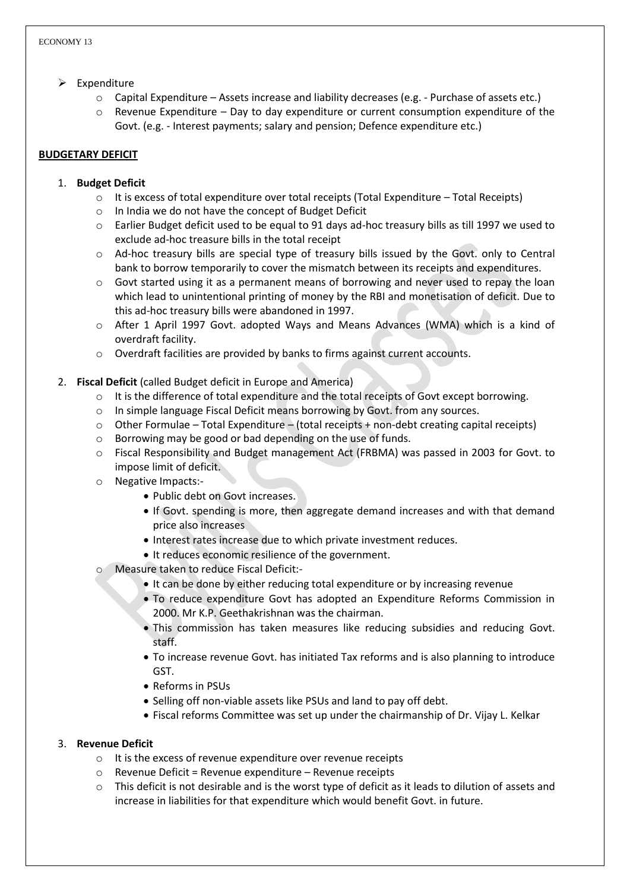- $\triangleright$  Expenditure
	- o Capital Expenditure Assets increase and liability decreases (e.g. Purchase of assets etc.)
	- $\circ$  Revenue Expenditure Day to day expenditure or current consumption expenditure of the Govt. (e.g. - Interest payments; salary and pension; Defence expenditure etc.)

## **BUDGETARY DEFICIT**

## 1. **Budget Deficit**

- $\circ$  It is excess of total expenditure over total receipts (Total Expenditure Total Receipts)
- o In India we do not have the concept of Budget Deficit
- o Earlier Budget deficit used to be equal to 91 days ad-hoc treasury bills as till 1997 we used to exclude ad-hoc treasure bills in the total receipt
- o Ad-hoc treasury bills are special type of treasury bills issued by the Govt. only to Central bank to borrow temporarily to cover the mismatch between its receipts and expenditures.
- o Govt started using it as a permanent means of borrowing and never used to repay the loan which lead to unintentional printing of money by the RBI and monetisation of deficit. Due to this ad-hoc treasury bills were abandoned in 1997.
- o After 1 April 1997 Govt. adopted Ways and Means Advances (WMA) which is a kind of overdraft facility.
- o Overdraft facilities are provided by banks to firms against current accounts.
- 2. **Fiscal Deficit** (called Budget deficit in Europe and America)
	- o It is the difference of total expenditure and the total receipts of Govt except borrowing.
	- o In simple language Fiscal Deficit means borrowing by Govt. from any sources.
	- $\circ$  Other Formulae Total Expenditure (total receipts + non-debt creating capital receipts)
	- o Borrowing may be good or bad depending on the use of funds.
	- o Fiscal Responsibility and Budget management Act (FRBMA) was passed in 2003 for Govt. to impose limit of deficit.
	- o Negative Impacts:-
		- Public debt on Govt increases.
		- If Govt. spending is more, then aggregate demand increases and with that demand price also increases
		- Interest rates increase due to which private investment reduces.
		- It reduces economic resilience of the government.
	- o Measure taken to reduce Fiscal Deficit:-
		- It can be done by either reducing total expenditure or by increasing revenue
		- To reduce expenditure Govt has adopted an Expenditure Reforms Commission in 2000. Mr K.P. Geethakrishnan was the chairman.
		- This commission has taken measures like reducing subsidies and reducing Govt. staff.
		- To increase revenue Govt. has initiated Tax reforms and is also planning to introduce GST.
		- Reforms in PSUs
		- Selling off non-viable assets like PSUs and land to pay off debt.
		- Fiscal reforms Committee was set up under the chairmanship of Dr. Vijay L. Kelkar

# 3. **Revenue Deficit**

- o It is the excess of revenue expenditure over revenue receipts
- $\circ$  Revenue Deficit = Revenue expenditure Revenue receipts
- $\circ$  This deficit is not desirable and is the worst type of deficit as it leads to dilution of assets and increase in liabilities for that expenditure which would benefit Govt. in future.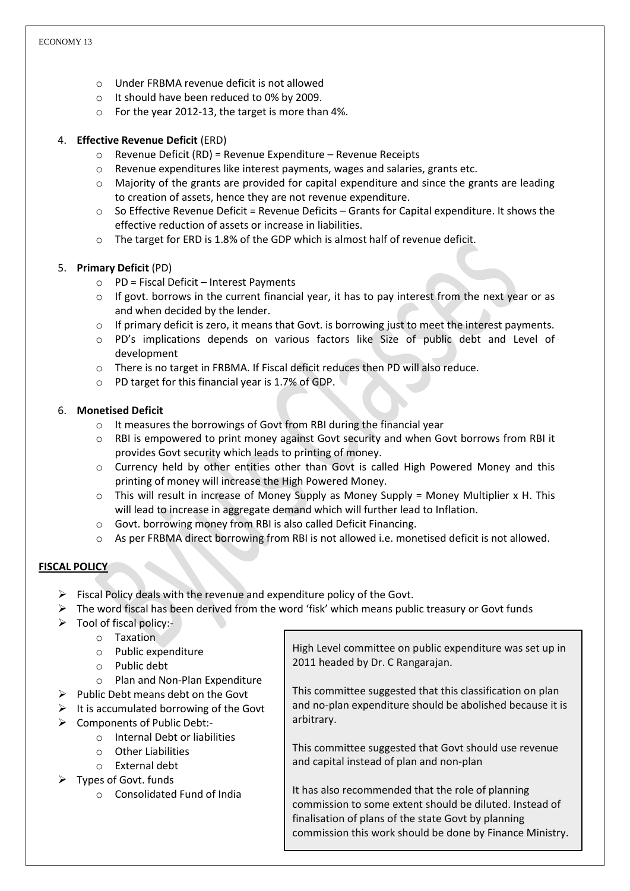- o Under FRBMA revenue deficit is not allowed
- o It should have been reduced to 0% by 2009.
- o For the year 2012-13, the target is more than 4%.

# 4. **Effective Revenue Deficit** (ERD)

- o Revenue Deficit (RD) = Revenue Expenditure Revenue Receipts
- o Revenue expenditures like interest payments, wages and salaries, grants etc.
- $\circ$  Majority of the grants are provided for capital expenditure and since the grants are leading to creation of assets, hence they are not revenue expenditure.
- $\circ$  So Effective Revenue Deficit = Revenue Deficits Grants for Capital expenditure. It shows the effective reduction of assets or increase in liabilities.
- $\circ$  The target for ERD is 1.8% of the GDP which is almost half of revenue deficit.

# 5. **Primary Deficit** (PD)

- o PD = Fiscal Deficit Interest Payments
- $\circ$  If govt, borrows in the current financial year, it has to pay interest from the next year or as and when decided by the lender.
- $\circ$  If primary deficit is zero, it means that Govt. is borrowing just to meet the interest payments.
- o PD's implications depends on various factors like Size of public debt and Level of development
- o There is no target in FRBMA. If Fiscal deficit reduces then PD will also reduce.
- o PD target for this financial year is 1.7% of GDP.

## 6. **Monetised Deficit**

- o It measures the borrowings of Govt from RBI during the financial year
- $\circ$  RBI is empowered to print money against Govt security and when Govt borrows from RBI it provides Govt security which leads to printing of money.
- o Currency held by other entities other than Govt is called High Powered Money and this printing of money will increase the High Powered Money.
- $\circ$  This will result in increase of Money Supply as Money Supply = Money Multiplier x H. This will lead to increase in aggregate demand which will further lead to Inflation.
- o Govt. borrowing money from RBI is also called Deficit Financing.
- o As per FRBMA direct borrowing from RBI is not allowed i.e. monetised deficit is not allowed.

# **FISCAL POLICY**

- $\triangleright$  Fiscal Policy deals with the revenue and expenditure policy of the Govt.
- $\triangleright$  The word fiscal has been derived from the word 'fisk' which means public treasury or Govt funds
- $\triangleright$  Tool of fiscal policy:
	- o Taxation
	- o Public expenditure
	- o Public debt
	- o Plan and Non-Plan Expenditure
- $\triangleright$  Public Debt means debt on the Govt
- $\triangleright$  It is accumulated borrowing of the Govt
- ▶ Components of Public Debt:
	- o Internal Debt or liabilities
	- o Other Liabilities
	- o External debt
- $\triangleright$  Types of Govt. funds
	- o Consolidated Fund of India

High Level committee on public expenditure was set up in 2011 headed by Dr. C Rangarajan.

This committee suggested that this classification on plan and no-plan expenditure should be abolished because it is arbitrary.

This committee suggested that Govt should use revenue and capital instead of plan and non-plan

It has also recommended that the role of planning commission to some extent should be diluted. Instead of finalisation of plans of the state Govt by planning commission this work should be done by Finance Ministry.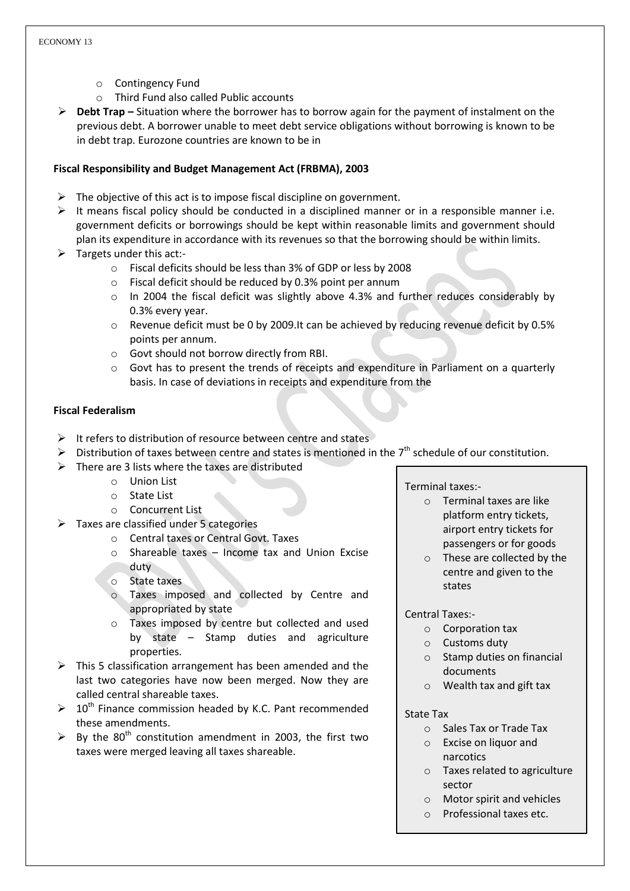- o Contingency Fund
- o Third Fund also called Public accounts
- **Debt Trap –** Situation where the borrower has to borrow again for the payment of instalment on the previous debt. A borrower unable to meet debt service obligations without borrowing is known to be in debt trap. Eurozone countries are known to be in

### **Fiscal Responsibility and Budget Management Act (FRBMA), 2003**

- $\triangleright$  The objective of this act is to impose fiscal discipline on government.
- $\triangleright$  It means fiscal policy should be conducted in a disciplined manner or in a responsible manner i.e. government deficits or borrowings should be kept within reasonable limits and government should plan its expenditure in accordance with its revenues so that the borrowing should be within limits.
- $\triangleright$  Targets under this act:
	- o Fiscal deficits should be less than 3% of GDP or less by 2008
	- o Fiscal deficit should be reduced by 0.3% point per annum
	- $\circ$  In 2004 the fiscal deficit was slightly above 4.3% and further reduces considerably by 0.3% every year.
	- o Revenue deficit must be 0 by 2009.It can be achieved by reducing revenue deficit by 0.5% points per annum.
	- o Govt should not borrow directly from RBI.
	- $\circ$  Govt has to present the trends of receipts and expenditure in Parliament on a quarterly basis. In case of deviations in receipts and expenditure from the

### **Fiscal Federalism**

- $\triangleright$  It refers to distribution of resource between centre and states
- $\triangleright$  Distribution of taxes between centre and states is mentioned in the 7<sup>th</sup> schedule of our constitution.
- $\triangleright$  There are 3 lists where the taxes are distributed
	- o Union List
	- o State List
	- o Concurrent List
- $\triangleright$  Taxes are classified under 5 categories
	- o Central taxes or Central Govt. Taxes
	- o Shareable taxes Income tax and Union Excise duty
	- o State taxes
	- o Taxes imposed and collected by Centre and appropriated by state
	- o Taxes imposed by centre but collected and used by state – Stamp duties and agriculture properties.
- $\triangleright$  This 5 classification arrangement has been amended and the last two categories have now been merged. Now they are called central shareable taxes.
- $\triangleright$  10<sup>th</sup> Finance commission headed by K.C. Pant recommended these amendments.
- $\triangleright$  By the 80<sup>th</sup> constitution amendment in 2003, the first two taxes were merged leaving all taxes shareable.

#### Terminal taxes:-

- o Terminal taxes are like platform entry tickets, airport entry tickets for passengers or for goods
- o These are collected by the centre and given to the states

#### Central Taxes:-

- o Corporation tax
- o Customs duty
- o Stamp duties on financial documents
- o Wealth tax and gift tax

#### State Tax

- o Sales Tax or Trade Tax
- o Excise on liquor and narcotics
- o Taxes related to agriculture sector
- o Motor spirit and vehicles
- o Professional taxes etc.